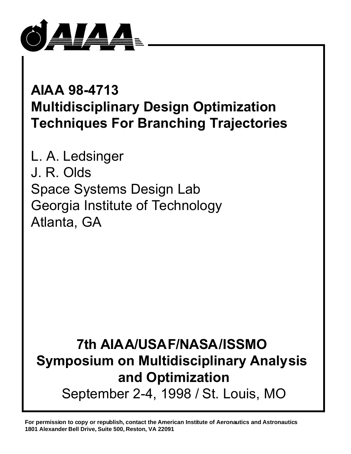

# **AIAA 98-4713 Multidisciplinary Design Optimization Techniques For Branching Trajectories**

L. A. Ledsinger J. R. Olds Space Systems Design Lab Georgia Institute of Technology Atlanta, GA

# **7th AIAA/USAF/NASA/ISSMO Symposium on Multidisciplinary Analysis and Optimization**

September 2-4, 1998 / St. Louis, MO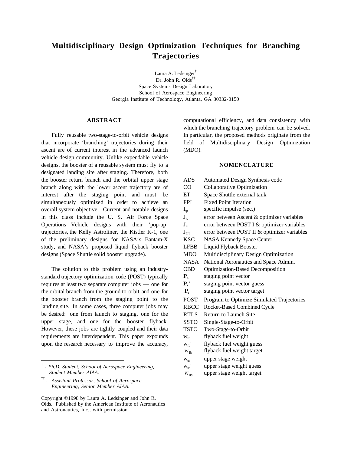# **Multidisciplinary Design Optimization Techniques for Branching Trajectories**

Laura A. Ledsinger<sup>†</sup> Dr. John R. Olds<sup>††</sup> Space Systems Design Laboratory School of Aerospace Engineering Georgia Institute of Technology, Atlanta, GA 30332-0150

# **ABSTRACT**

Fully reusable two-stage-to-orbit vehicle designs that incorporate 'branching' trajectories during their ascent are of current interest in the advanced launch vehicle design community. Unlike expendable vehicle designs, the booster of a reusable system must fly to a designated landing site after staging. Therefore, both the booster return branch and the orbital upper stage branch along with the lower ascent trajectory are of interest after the staging point and must be simultaneously optimized in order to achieve an overall system objective. Current and notable designs in this class include the U. S. Air Force Space Operations Vehicle designs with their 'pop-up' trajectories, the Kelly Astroliner, the Kistler K-1, one of the preliminary designs for NASA's Bantam-X study, and NASA's proposed liquid flyback booster designs (Space Shuttle solid booster upgrade).

The solution to this problem using an industrystandard trajectory optimization code (POST) typically requires at least two separate computer jobs — one for the orbital branch from the ground to orbit and one for the booster branch from the staging point to the landing site. In some cases, three computer jobs may be desired: one from launch to staging, one for the upper stage, and one for the booster flyback. However, these jobs are tightly coupled and their data requirements are interdependent. This paper expounds upon the research necessary to improve the accuracy,

†  *- Ph.D. Student, School of Aerospace Engineering, Student Member AIAA.*

†† *- Assistant Professor, School of Aerospace Engineering, Senior Member AIAA.*

Copyright ©1998 by Laura A. Ledsinger and John R. Olds. Published by the American Institute of Aeronautics and Astronautics, Inc., with permission.

computational efficiency, and data consistency with which the branching trajectory problem can be solved. In particular, the proposed methods originate from the field of Multidisciplinary Design Optimization (MDO).

#### **NOMENCLATURE**

|    | <b>ADS</b>                  | Automated Design Synthesis code             |
|----|-----------------------------|---------------------------------------------|
| CO |                             | <b>Collaborative Optimization</b>           |
|    | ET                          | Space Shuttle external tank                 |
|    | <b>FPI</b>                  | <b>Fixed Point Iteration</b>                |
|    | $I_{sp}$                    | specific impulse (sec.)                     |
|    | $J_A$                       | error between Ascent & optimizer variables  |
|    | $J_{PI}$                    | error between POST I & optimizer variables  |
|    | $J_{PII}$                   | error between POST II & optimizer variables |
|    | <b>KSC</b>                  | <b>NASA Kennedy Space Center</b>            |
|    | <b>LFBB</b>                 | Liquid Flyback Booster                      |
|    | <b>MDO</b>                  | Multidisciplinary Design Optimization       |
|    | <b>NASA</b>                 | National Aeronautics and Space Admin.       |
|    | <b>OBD</b>                  | <b>Optimization-Based Decomposition</b>     |
|    | ${\bf P}_s$                 | staging point vector                        |
|    | ${\bf P_s}'$                | staging point vector guess                  |
|    | $\overline{\mathbf{P}}_{s}$ | staging point vector target                 |
|    | <b>POST</b>                 | Program to Optimize Simulated Trajectories  |
|    | <b>RBCC</b>                 | Rocket-Based Combined Cycle                 |
|    | <b>RTLS</b>                 | Return to Launch Site                       |
|    | SSTO                        | Single-Stage-to-Orbit                       |
|    | TSTO                        | Two-Stage-to-Orbit                          |
|    | $W_{\text{fh}}$             | flyback fuel weight                         |
|    | $W_{\text{fh}}$             | flyback fuel weight guess                   |
|    | $\overline{w}_{\text{fb}}$  | flyback fuel weight target                  |
|    | $W_{\text{ns}}$             | upper stage weight                          |
|    | $\mathbf{w}_{\text{us}}$    | upper stage weight guess                    |
|    | $\overline{w}_{us}$         | upper stage weight target                   |
|    |                             |                                             |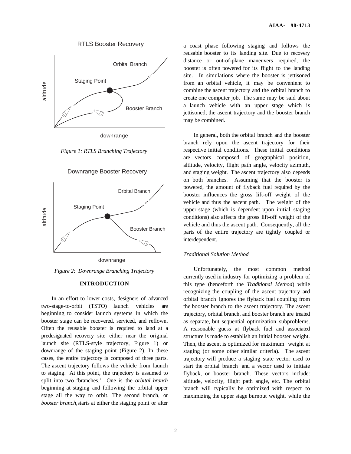

# RTLS Booster Recovery

downrange

*Figure 1: RTLS Branching Trajectory*



Downrange Booster Recovery

*Figure 2: Downrange Branching Trajectory*

### **INTRODUCTION**

In an effort to lower costs, designers of advanced two-stage-to-orbit (TSTO) launch vehicles are beginning to consider launch systems in which the booster stage can be recovered, serviced, and reflown. Often the reusable booster is required to land at a predesignated recovery site either near the original launch site (RTLS-style trajectory, Figure 1) or downrange of the staging point (Figure 2). In these cases, the entire trajectory is composed of three parts. The ascent trajectory follows the vehicle from launch to staging. At this point, the trajectory is assumed to split into two 'branches.' One is the *orbital branch* beginning at staging and following the orbital upper stage all the way to orbit. The second branch, or *booster branch*,starts at either the staging point or after a coast phase following staging and follows the reusable booster to its landing site. Due to recovery distance or out-of-plane maneuvers required, the booster is often powered for its flight to the landing site. In simulations where the booster is jettisoned from an orbital vehicle, it may be convenient to combine the ascent trajectory and the orbital branch to create one computer job. The same may be said about a launch vehicle with an upper stage which is jettisoned; the ascent trajectory and the booster branch may be combined.

In general, both the orbital branch and the booster branch rely upon the ascent trajectory for their respective initial conditions. These initial conditions are vectors composed of geographical position, altitude, velocity, flight path angle, velocity azimuth, and staging weight. The ascent trajectory also depends on both branches. Assuming that the booster is powered, the amount of flyback fuel required by the booster influences the gross lift-off weight of the vehicle and thus the ascent path. The weight of the upper stage (which is dependent upon initial staging conditions) also affects the gross lift-off weight of the vehicle and thus the ascent path. Consequently, all the parts of the entire trajectory are tightly coupled or interdependent.

#### *Traditional Solution Method*

Unfortunately, the most common method currently used in industry for optimizing a problem of this type (henceforth the *Traditional Method*) while recognizing the coupling of the ascent trajectory and orbital branch ignores the flyback fuel coupling from the booster branch to the ascent trajectory. The ascent trajectory, orbital branch, and booster branch are treated as separate, but sequential optimization subproblems. A reasonable guess at flyback fuel and associated structure is made to establish an initial booster weight. Then, the ascent is optimized for maximum weight at staging (or some other similar criteria). The ascent trajectory will produce a staging state vector used to start the orbital branch and a vector used to initiate flyback, or booster branch. These vectors include: altitude, velocity, flight path angle, etc. The orbital branch will typically be optimized with respect to maximizing the upper stage burnout weight, while the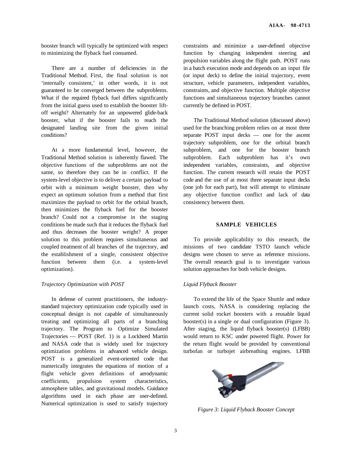booster branch will typically be optimized with respect to minimizing the flyback fuel consumed.

There are a number of deficiencies in the Traditional Method. First, the final solution is not 'internally consistent,' in other words, it is not guaranteed to be converged between the subproblems. What if the required flyback fuel differs significantly from the initial guess used to establish the booster liftoff weight? Alternately for an unpowered glide-back booster, what if the booster fails to reach the designated landing site from the given initial conditions?

At a more fundamental level, however, the Traditional Method solution is inherently flawed. The objective functions of the subproblems are not the same, so therefore they can be in conflict. If the system-level objective is to deliver a certain payload to orbit with a minimum weight booster, then why expect an optimum solution from a method that first maximizes the payload to orbit for the orbital branch, then minimizes the flyback fuel for the booster branch? Could not a compromise in the staging conditions be made such that it reduces the flyback fuel and thus decreases the booster weight? A proper solution to this problem requires simultaneous and coupled treatment of all branches of the trajectory, and the establishment of a single, consistent objective function between them (i.e. a system-level optimization).

#### *Trajectory Optimization with POST*

In defense of current practitioners, the industrystandard trajectory optimization code typically used in conceptual design is not capable of simultaneously treating and optimizing all parts of a branching trajectory. The Program to Optimize Simulated Trajectories — POST (Ref. 1) is a Lockheed Martin and NASA code that is widely used for trajectory optimization problems in advanced vehicle design. POST is a generalized event-oriented code that numerically integrates the equations of motion of a flight vehicle given definitions of aerodynamic coefficients, propulsion system characteristics, atmosphere tables, and gravitational models. Guidance algorithms used in each phase are user-defined. Numerical optimization is used to satisfy trajectory constraints and minimize a user-defined objective function by changing independent steering and propulsion variables along the flight path. POST runs in a batch execution mode and depends on an input file (or input deck) to define the initial trajectory, event structure, vehicle parameters, independent variables, constraints, and objective function. Multiple objective functions and simultaneous trajectory branches cannot currently be defined in POST.

The Traditional Method solution (discussed above) used for the branching problem relies on at most three separate POST input decks — one for the ascent trajectory subproblem, one for the orbital branch subproblem, and one for the booster branch subproblem. Each subproblem has it's own independent variables, constraints, and objective function. The current research will retain the POST code and the use of at most three separate input decks (one job for each part), but will attempt to eliminate any objective function conflict and lack of data consistency between them.

#### **SAMPLE VEHICLES**

To provide applicability to this research, the missions of two candidate TSTO launch vehicle designs were chosen to serve as reference missions. The overall research goal is to investigate various solution approaches for both vehicle designs.

#### *Liquid Flyback Booster*

To extend the life of the Space Shuttle and reduce launch costs, NASA is considering replacing the current solid rocket boosters with a reusable liquid booster(s) in a single or dual configuration (Figure 3). After staging, the liquid flyback booster(s) (LFBB) would return to KSC under powered flight. Power for the return flight would be provided by conventional turbofan or turbojet airbreathing engines. LFBB



*Figure 3: Liquid Flyback Booster Concept*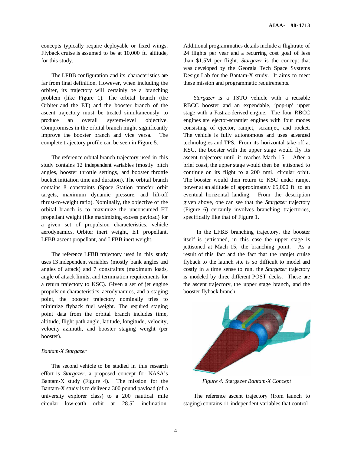concepts typically require deployable or fixed wings. Flyback cruise is assumed to be at 10,000 ft. altitude, for this study.

The LFBB configuration and its characteristics are far from final definition. However, when including the orbiter, its trajectory will certainly be a branching problem (like Figure 1). The orbital branch (the Orbiter and the ET) and the booster branch of the ascent trajectory must be treated simultaneously to produce an overall system-level objective. Compromises in the orbital branch might significantly improve the booster branch and vice versa. The complete trajectory profile can be seen in Figure 5.

The reference orbital branch trajectory used in this study contains 12 independent variables (mostly pitch angles, booster throttle settings, and booster throttle bucket initiation time and duration). The orbital branch contains 8 constraints (Space Station transfer orbit targets, maximum dynamic pressure, and lift-off thrust-to-weight ratio). Nominally, the objective of the orbital branch is to maximize the unconsumed ET propellant weight (like maximizing excess payload) for a given set of propulsion characteristics, vehicle aerodynamics, Orbiter inert weight, ET propellant, LFBB ascent propellant, and LFBB inert weight.

The reference LFBB trajectory used in this study uses 13 independent variables (mostly bank angles and angles of attack) and 7 constraints (maximum loads, angle of attack limits, and termination requirements for a return trajectory to KSC). Given a set of jet engine propulsion characteristics, aerodynamics, and a staging point, the booster trajectory nominally tries to minimize flyback fuel weight. The required staging point data from the orbital branch includes time, altitude, flight path angle, latitude, longitude, velocity, velocity azimuth, and booster staging weight (per booster).

#### *Bantam-X Stargazer*

The second vehicle to be studied in this research effort is *Stargazer*, a proposed concept for NASA's Bantam-X study (Figure 4). The mission for the Bantam-X study is to deliver a 300 pound payload (of a university explorer class) to a 200 nautical mile circular low-earth orbit at 28.5˚ inclination. Additional programmatics details include a flightrate of 24 flights per year and a recurring cost goal of less than \$1.5M per flight. *Stargazer* is the concept that was developed by the Georgia Tech Space Systems Design Lab for the Bantam-X study. It aims to meet these mission and programmatic requirements.

*Stargazer* is a TSTO vehicle with a reusable RBCC booster and an expendable, 'pop-up' upper stage with a Fastrac-derived engine. The four RBCC engines are ejector-scramjet engines with four modes consisting of ejector, ramjet, scramjet, and rocket. The vehicle is fully autonomous and uses advanced technologies and TPS. From its horizontal take-off at KSC, the booster with the upper stage would fly its ascent trajectory until it reaches Mach 15. After a brief coast, the upper stage would then be jettisoned to continue on its flight to a 200 nmi. circular orbit. The booster would then return to KSC under ramjet power at an altitude of approximately 65,000 ft. to an eventual horizontal landing. From the description given above, one can see that the *Stargazer* trajectory (Figure 6) certainly involves branching trajectories, specifically like that of Figure 1.

 In the LFBB branching trajectory, the booster itself is jettisoned, in this case the upper stage is jettisoned at Mach 15, the branching point. As a result of this fact and the fact that the ramjet cruise flyback to the launch site is so difficult to model and costly in a time sense to run, the *Stargazer* trajectory is modeled by three different POST decks. These are the ascent trajectory, the upper stage branch, and the booster flyback branch.



*Figure 4:* Stargazer *Bantam-X Concept*

The reference ascent trajectory (from launch to staging) contains 11 independent variables that control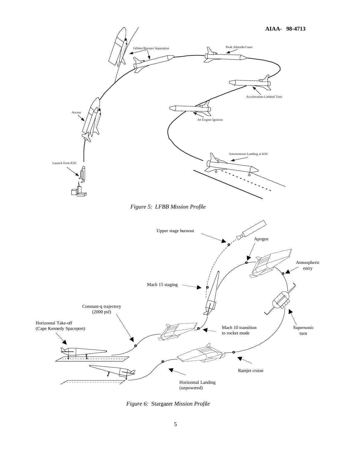

*Figure 6:* Stargazer *Mission Profile*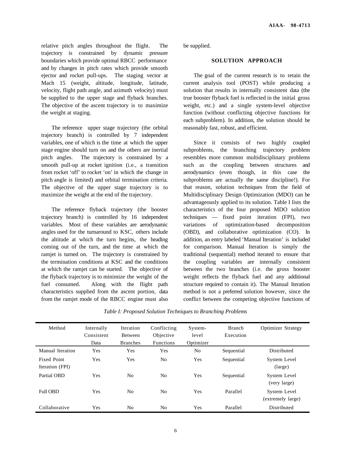relative pitch angles throughout the flight. The trajectory is constrained by dynamic pressure boundaries which provide optimal RBCC performance and by changes in pitch rates which provide smooth ejector and rocket pull-ups. The staging vector at Mach 15 (weight, altitude, longitude, latitude, velocity, flight path angle, and azimuth velocity) must be supplied to the upper stage and flyback branches. The objective of the ascent trajectory is to maximize the weight at staging.

The reference upper stage trajectory (the orbital trajectory branch) is controlled by 7 independent variables, one of which is the time at which the upper stage engine should turn on and the others are inertial pitch angles. The trajectory is constrained by a smooth pull-up at rocket ignition (i.e., a transition from rocket 'off' to rocket 'on' in which the change in pitch angle is limited) and orbital termination criteria. The objective of the upper stage trajectory is to maximize the weight at the end of the trajectory.

The reference flyback trajectory (the booster trajectory branch) is controlled by 16 independent variables. Most of these variables are aerodynamic angles used for the turnaround to KSC, others include the altitude at which the turn begins, the heading coming out of the turn, and the time at which the ramjet is turned on. The trajectory is constrained by the termination conditions at KSC and the conditions at which the ramjet can be started. The objective of the flyback trajectory is to minimize the weight of the fuel consumed. Along with the flight path characteristics supplied from the ascent portion, data from the ramjet mode of the RBCC engine must also be supplied.

# **SOLUTION APPROACH**

The goal of the current research is to retain the current analysis tool (POST) while producing a solution that results in internally consistent data (the true booster flyback fuel is reflected in the initial gross weight, etc.) and a single system-level objective function (without conflicting objective functions for each subproblem). In addition, the solution should be reasonably fast, robust, and efficient.

Since it consists of two highly coupled subproblems, the branching trajectory problem resembles more common multidisciplinary problems such as the coupling between structures and aerodynamics (even though, in this case the subproblems are actually the same discipline!). For that reason, solution techniques from the field of Multidisciplinary Design Optimization (MDO) can be advantageously applied to its solution. Table I lists the characteristics of the four proposed MDO solution techniques — fixed point iteration (FPI), two variations of optimization-based decomposition (OBD), and collaborative optimization (CO). In addition, an entry labeled 'Manual Iteration' is included for comparison. Manual Iteration is simply the traditional (sequential) method iterated to ensure that the coupling variables are internally consistent between the two branches (i.e. the gross booster weight reflects the flyback fuel and any additional structure required to contain it). The Manual Iteration method is not a preferred solution however, since the conflict between the competing objective functions of

*Table I: Proposed Solution Techniques to Branching Problems*

| Method                                | Internally<br>Consistent<br>Data | <b>Iteration</b><br><b>Between</b><br><b>Branches</b> | Conflicting<br>Objective<br><b>Functions</b> | System-<br>level<br>Optimizer | <b>Branch</b><br>Execution | <b>Optimizer Strategy</b>         |
|---------------------------------------|----------------------------------|-------------------------------------------------------|----------------------------------------------|-------------------------------|----------------------------|-----------------------------------|
| Manual Iteration                      | Yes                              | Yes                                                   | Yes                                          | No                            | Sequential                 | Distributed                       |
| <b>Fixed Point</b><br>Iteration (FPI) | <b>Yes</b>                       | Yes                                                   | N <sub>0</sub>                               | Yes                           | Sequential                 | System Level<br>(large)           |
| Partial OBD                           | Yes                              | N <sub>0</sub>                                        | No                                           | Yes                           | Sequential                 | System Level<br>(very large)      |
| <b>Full OBD</b>                       | Yes                              | N <sub>0</sub>                                        | No                                           | Yes                           | Parallel                   | System Level<br>(extremely large) |
| Collaborative                         | Yes                              | No.                                                   | No                                           | Yes                           | Parallel                   | Distributed                       |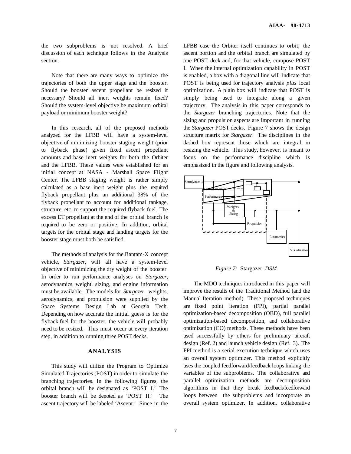the two subproblems is not resolved. A brief discussion of each technique follows in the Analysis section.

Note that there are many ways to optimize the trajectories of both the upper stage and the booster. Should the booster ascent propellant be resized if necessary? Should all inert weights remain fixed? Should the system-level objective be maximum orbital payload or minimum booster weight?

In this research, all of the proposed methods analyzed for the LFBB will have a system-level objective of minimizing booster staging weight (prior to flyback phase) given fixed ascent propellant amounts and base inert weights for both the Orbiter and the LFBB. These values were established for an initial concept at NASA - Marshall Space Flight Center. The LFBB staging weight is rather simply calculated as a base inert weight plus the required flyback propellant plus an additional 38% of the flyback propellant to account for additional tankage, structure, etc. to support the required flyback fuel. The excess ET propellant at the end of the orbital branch is required to be zero or positive. In addition, orbital targets for the orbital stage and landing targets for the booster stage must both be satisfied.

The methods of analysis for the Bantam-X concept vehicle, *Stargazer*, will all have a system-level objective of minimizing the dry weight of the booster. In order to run performance analyses on *Stargazer*, aerodynamics, weight, sizing, and engine information must be available. The models for *Stargazer* weights, aerodynamics, and propulsion were supplied by the Space Systems Design Lab at Georgia Tech. Depending on how accurate the initial guess is for the flyback fuel for the booster, the vehicle will probably need to be resized. This must occur at every iteration step, in addition to running three POST decks.

#### **ANALYSIS**

This study will utilize the Program to Optimize Simulated Trajectories (POST) in order to simulate the branching trajectories. In the following figures, the orbital branch will be designated as 'POST I.' The booster branch will be denoted as 'POST II.' The ascent trajectory will be labeled 'Ascent.' Since in the

LFBB case the Orbiter itself continues to orbit, the ascent portion and the orbital branch are simulated by one POST deck and, for that vehicle, compose POST I. When the internal optimization capability in POST is enabled, a box with a diagonal line will indicate that POST is being used for trajectory analysis *plus* local optimization. A plain box will indicate that POST is simply being used to integrate along a given trajectory. The analysis in this paper corresponds to the *Stargazer* branching trajectories. Note that the sizing and propulsion aspects are important in running the *Stargazer* POST decks. Figure 7 shows the design structure matrix for *Stargazer*. The disciplines in the dashed box represent those which are integral in resizing the vehicle. This study, however, is meant to focus on the performance discipline which is emphasized in the figure and following analysis.



*Figure 7:* Stargazer *DSM*

The MDO techniques introduced in this paper will improve the results of the Traditional Method (and the Manual Iteration method). These proposed techniques are fixed point iteration (FPI), partial parallel optimization-based decomposition (OBD), full parallel optimization-based decomposition, and collaborative optimization (CO) methods. These methods have been used successfully by others for preliminary aircraft design (Ref. 2) and launch vehicle design (Ref. 3). The FPI method is a serial execution technique which uses an overall system optimizer. This method explicitly uses the coupled feedforward/feedback loops linking the variables of the subproblems. The collaborative and parallel optimization methods are decomposition algorithms in that they break feedback/feedforward loops between the subproblems and incorporate an overall system optimizer. In addition, collaborative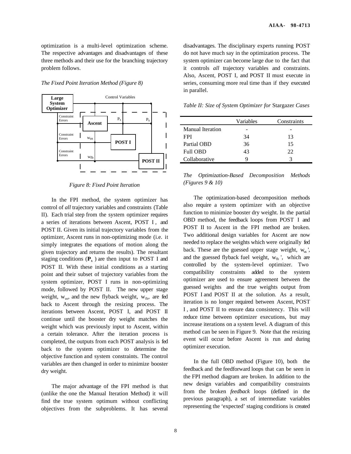optimization is a multi-level optimization scheme. The respective advantages and disadvantages of these three methods and their use for the branching trajectory problem follows.

*The Fixed Point Iteration Method (Figure 8)*



*Figure 8: Fixed Point Iteration*

In the FPI method, the system optimizer has control of *all* trajectory variables and constraints (Table II). Each trial step from the system optimizer requires a series of iterations between Ascent, POST I , and POST II. Given its initial trajectory variables from the optimizer, Ascent runs in non-optimizing mode (i.e. it simply integrates the equations of motion along the given trajectory and returns the results). The resultant staging conditions  $(\mathbf{P}_s)$  are then input to POST I and POST II. With these initial conditions as a starting point and their subset of trajectory variables from the system optimizer, POST I runs in non-optimizing mode, followed by POST II. The new upper stage weight,  $W_{\text{ns}}$ , and the new flyback weight,  $W_{\text{fb}}$ , are fed back to Ascent through the resizing process. The iterations between Ascent, POST I, and POST II continue until the booster dry weight matches the weight which was previously input to Ascent, within a certain tolerance. After the iteration process is completed, the outputs from each POST analysis is fed back to the system optimizer to determine the objective function and system constraints. The control variables are then changed in order to minimize booster dry weight.

The major advantage of the FPI method is that (unlike the one the Manual Iteration Method) it will find the true system optimum without conflicting objectives from the subproblems. It has several

disadvantages. The disciplinary experts running POST do not have much say in the optimization process. The system optimizer can become large due to the fact that it controls *all* trajectory variables and constraints. Also, Ascent, POST I, and POST II must execute in series, consuming more real time than if they executed in parallel.

*Table II: Size of System Optimizer for* Stargazer *Cases*

|                  | Variables | Constraints |
|------------------|-----------|-------------|
| Manual Iteration |           |             |
| <b>FPI</b>       | 34        | 13          |
| Partial OBD      | 36        | 15          |
| <b>Full OBD</b>  | 43        | 22          |
| Collaborative    |           |             |

| The Optimization-Based Decomposition Methods |  |
|----------------------------------------------|--|
| (Figures $9 & 10$ )                          |  |

The optimization-based decomposition methods also require a system optimizer with an objective function to minimize booster dry weight. In the partial OBD method, the feedback loops from POST I and POST II to Ascent in the FPI method are broken. Two additional design variables for Ascent are now needed to replace the weights which were originally fed back. These are the guessed upper stage weight,  $w_{\text{us}}$ . and the guessed flyback fuel weight,  $w_{fb}$ ', which are controlled by the system-level optimizer. Two compatibility constraints added to the system optimizer are used to ensure agreement between the guessed weights and the true weights output from POST I and POST II at the solution. As a result, iteration is no longer required between Ascent, POST I , and POST II to ensure data consistency. This will reduce time between optimizer executions, but may increase iterations on a system level. A diagram of this method can be seen in Figure 9. Note that the resizing event will occur before Ascent is run and during optimizer execution.

In the full OBD method (Figure 10), both the feedback and the feedforward loops that can be seen in the FPI method diagram are broken. In addition to the new design variables and compatibility constraints from the broken *feedback* loops (defined in the previous paragraph), a set of intermediate variables representing the 'expected' staging conditions is created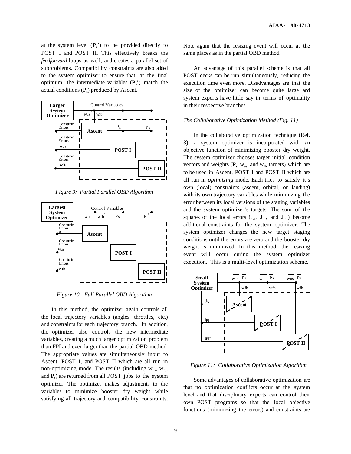at the system level  $(\mathbf{P}_s)$  to be provided directly to POST I and POST II. This effectively breaks the *feedforward* loops as well, and creates a parallel set of subproblems. Compatibility constraints are also added to the system optimizer to ensure that, at the final optimum, the intermediate variables  $(\mathbf{P}_s)$  match the actual conditions (**Ps**) produced by Ascent.



*Figure 9: Partial Parallel OBD Algorithm*



*Figure 10: Full Parallel OBD Algorithm*

In this method, the optimizer again controls all the local trajectory variables (angles, throttles, etc.) and constraints for each trajectory branch. In addition, the optimizer also controls the new intermediate variables, creating a much larger optimization problem than FPI and even larger than the partial OBD method. The appropriate values are simultaneously input to Ascent, POST I, and POST II which are all run in non-optimizing mode. The results (including  $w_{us}$ ,  $w_{fb}$ , and  $P_s$ ) are returned from all POST jobs to the system optimizer. The optimizer makes adjustments to the variables to minimize booster dry weight while satisfying all trajectory and compatibility constraints.

Note again that the resizing event will occur at the same places as in the partial OBD method.

An advantage of this parallel scheme is that all POST decks can be run simultaneously, reducing the execution time even more. Disadvantages are that the size of the optimizer can become quite large and system experts have little say in terms of optimality in their respective branches.

#### *The Collaborative Optimization Method (Fig. 11)*

In the collaborative optimization technique (Ref. 3), a system optimizer is incorporated with an objective function of minimizing booster dry weight. The system optimizer chooses target initial condition vectors and weights ( $\mathbf{P}_s$ ,  $w_{us}$ , and  $w_{fb}$  targets) which are to be used in Ascent, POST I and POST II which are all run in *optimizing* mode. Each tries to satisfy it's own (local) constraints (ascent, orbital, or landing) with its own trajectory variables while minimizing the error between its local versions of the staging variables and the system optimizer's targets. The sum of the squares of the local errors  $(J_A, J_{PI}, \text{ and } J_{PI})$  become additional constraints for the system optimizer. The system optimizer changes the new target staging conditions until the errors are zero and the booster dry weight is minimized. In this method, the resizing event will occur during the system optimizer execution. This is a multi-level optimization scheme.



*Figure 11: Collaborative Optimization Algorithm*

Some advantages of collaborative optimization are that no optimization conflicts occur at the system level and that disciplinary experts can control their own POST programs so that the local objective functions (minimizing the errors) and constraints are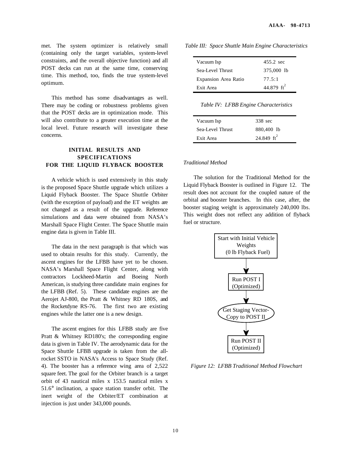met. The system optimizer is relatively small (containing only the target variables, system-level constraints, and the overall objective function) and all POST decks can run at the same time, conserving time. This method, too, finds the true system-level optimum.

This method has some disadvantages as well. There may be coding or robustness problems given that the POST decks are in optimization mode. This will also contribute to a greater execution time at the local level. Future research will investigate these concerns.

# **INITIAL RESULTS AND SPECIFICATIONS FOR THE LIQUID FLYBACK BOOSTER**

A vehicle which is used extensively in this study is the proposed Space Shuttle upgrade which utilizes a Liquid Flyback Booster. The Space Shuttle Orbiter (with the exception of payload) and the ET weights are not changed as a result of the upgrade. Reference simulations and data were obtained from NASA's Marshall Space Flight Center. The Space Shuttle main engine data is given in Table III.

The data in the next paragraph is that which was used to obtain results for this study. Currently, the ascent engines for the LFBB have yet to be chosen. NASA's Marshall Space Flight Center, along with contractors Lockheed-Martin and Boeing North American, is studying three candidate main engines for the LFBB (Ref. 5). These candidate engines are the Aerojet AJ-800, the Pratt & Whitney RD 180S, and the Rocketdyne RS-76. The first two are existing engines while the latter one is a new design.

The ascent engines for this LFBB study are five Pratt & Whitney RD180's; the corresponding engine data is given in Table IV. The aerodynamic data for the Space Shuttle LFBB upgrade is taken from the allrocket SSTO in NASA's Access to Space Study (Ref. 4). The booster has a reference wing area of 2,522 square feet. The goal for the Orbiter branch is a target orbit of 43 nautical miles x 153.5 nautical miles x 51.6° inclination, a space station transfer orbit. The inert weight of the Orbiter/ET combination at injection is just under 343,000 pounds.

|  |  |  | Table III: Space Shuttle Main Engine Characteristics |
|--|--|--|------------------------------------------------------|
|--|--|--|------------------------------------------------------|

| Vacuum Isp           | 455.2 sec            |
|----------------------|----------------------|
| Sea-Level Thrust     | 375,000 lb           |
| Expansion Area Ratio | 77.5:1               |
| Exit Area            | 44.879 $\text{ft}^2$ |

*Table IV: LFBB Engine Characteristics*

| Vacuum Isp       | 338 sec              |
|------------------|----------------------|
| Sea-Level Thrust | 880.400 lb           |
| Exit Area        | 24.849 $\text{ft}^2$ |

#### *Traditional Method*

The solution for the Traditional Method for the Liquid Flyback Booster is outlined in Figure 12. The result does not account for the coupled nature of the orbital and booster branches. In this case, after, the booster staging weight is approximately 240,000 lbs. This weight does not reflect any addition of flyback fuel or structure.



*Figure 12: LFBB Traditional Method Flowchart*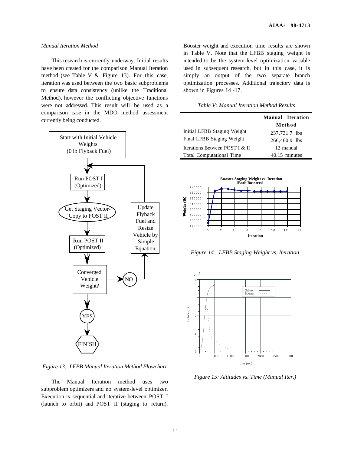#### *Manual Iteration Method*

This research is currently underway. Initial results have been created for the comparison Manual Iteration method (see Table V & Figure 13). For this case, iteration was used between the two basic subproblems to ensure data consistency (unlike the Traditional Method), however the conflicting objective functions were not addressed. This result will be used as a comparison case in the MDO method assessment currently being conducted.



*Figure 13: LFBB Manual Iteration Method Flowchart*

The Manual Iteration method uses two subproblem optimizers and no system-level optimizer. Execution is sequential and iterative between POST I (launch to orbit) and POST II (staging to return).

Booster weight and execution time results are shown in Table V. Note that the LFBB staging weight is intended to be the system-level optimization variable used in subsequent research, but in this case, it is simply an output of the two separate branch optimization processes. Additional trajectory data is shown in Figures 14 -17.

*Table V: Manual Iteration Method Results*

|                                 | Manual Iteration |
|---------------------------------|------------------|
|                                 | Method           |
| Initial LFBB Staging Weight     | 237,731.7 lbs    |
| Final LFBB Staging Weight       | 266,460.9 lbs    |
| Iterations Between POST I & II  | 12 manual        |
| <b>Total Computational Time</b> | 40.15 minutes    |



*Figure 14: LFBB Staging Weight vs. Iteration*



*Figure 15: Altitudes vs. Time (Manual Iter.)*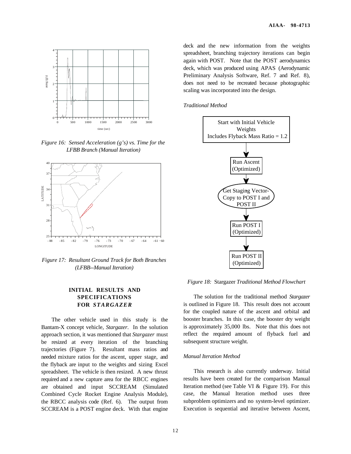

*Figure 16: Sensed Acceleration (g's) vs. Time for the LFBB Branch (Manual Iteration)*



*Figure 17: Resultant Ground Track for Both Branches (LFBB--Manual Iteration)*

# **INITIAL RESULTS AND SPECIFICATIONS FOR** *STARGAZER*

The other vehicle used in this study is the Bantam-X concept vehicle, *Stargazer*. In the solution approach section, it was mentioned that *Stargazer* must be resized at every iteration of the branching trajectories (Figure 7). Resultant mass ratios and needed mixture ratios for the ascent, upper stage, and the flyback are input to the weights and sizing Excel spreadsheet. The vehicle is then resized. A new thrust required and a new capture area for the RBCC engines are obtained and input SCCREAM (Simulated Combined Cycle Rocket Engine Analysis Module), the RBCC analysis code (Ref. 6). The output from SCCREAM is a POST engine deck. With that engine

deck and the new information from the weights spreadsheet, branching trajectory iterations can begin again with POST. Note that the POST aerodynamics deck, which was produced using APAS (Aerodynamic Preliminary Analysis Software, Ref. 7 and Ref. 8), does not need to be recreated because photographic scaling was incorporated into the design.

# *Traditional Method*



*Figure 18:* Stargazer *Traditional Method Flowchart*

The solution for the traditional method *Stargazer* is outlined in Figure 18. This result does not account for the coupled nature of the ascent and orbital and booster branches. In this case, the booster dry weight is approximately 35,000 lbs. Note that this does not reflect the required amount of flyback fuel and subsequent structure weight.

#### *Manual Iteration Method*

This research is also currently underway. Initial results have been created for the comparison Manual Iteration method (see Table VI & Figure 19). For this case, the Manual Iteration method uses three subproblem optimizers and no system-level optimizer. Execution is sequential and iterative between Ascent,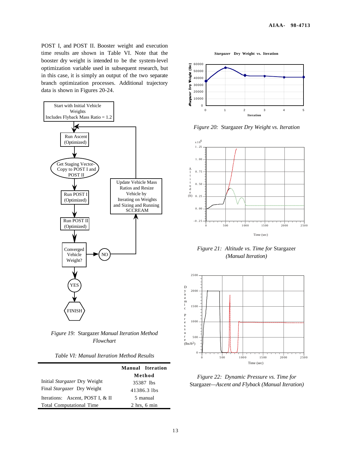POST I, and POST II. Booster weight and execution time results are shown in Table VI. Note that the booster dry weight is intended to be the system-level optimization variable used in subsequent research, but in this case, it is simply an output of the two separate branch optimization processes. Additional trajectory data is shown in Figures 20-24.



*Figure 19:* Stargazer *Manual Iteration Method Flowchart*

|                                  | <b>Manual</b> Iteration |
|----------------------------------|-------------------------|
|                                  | Method                  |
| Initial Stargazer Dry Weight     | 35387 lbs               |
| Final Stargazer Dry Weight       | 41386.3 lbs             |
| Iterations: Ascent, POST I, & II | 5 manual                |
| <b>Total Computational Time</b>  | $2$ hrs, 6 min          |

*Stargazer* **Dry Weight vs. Iteration**



*Figure 20:* Stargazer *Dry Weight vs. Iteration*



*Figure 21: Altitude vs. Time for* Stargazer *(Manual Iteration)*



*Figure 22: Dynamic Pressure vs. Time for* Stargazer*—Ascent and Flyback (Manual Iteration)*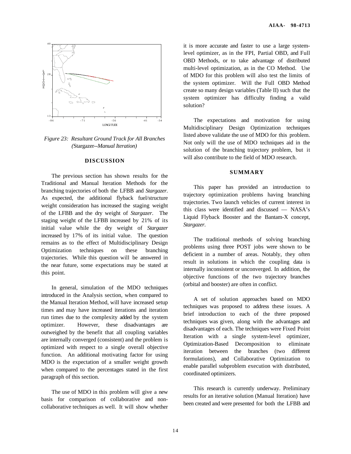

*Figure 23: Resultant Ground Track for All Branches (*Stargazer*--Manual Iteration)*

#### **DISCUSSION**

The previous section has shown results for the Traditional and Manual Iteration Methods for the branching trajectories of both the LFBB and *Stargazer*. As expected, the additional flyback fuel/structure weight consideration has increased the staging weight of the LFBB and the dry weight of *Stargazer*. The staging weight of the LFBB increased by 21% of its initial value while the dry weight of *Stargazer* increased by 17% of its initial value. The question remains as to the effect of Multidisciplinary Design Optimization techniques on these branching trajectories. While this question will be answered in the near future, some expectations may be stated at this point.

In general, simulation of the MDO techniques introduced in the Analysis section, when compared to the Manual Iteration Method, will have increased setup times and may have increased iterations and iteration run times due to the complexity added by the system optimizer. However, these disadvantages are outweighed by the benefit that all coupling variables are internally converged (consistent) and the problem is optimized with respect to a single overall objective function. An additional motivating factor for using MDO is the expectation of a smaller weight growth when compared to the percentages stated in the first paragraph of this section.

The use of MDO in this problem will give a new basis for comparison of collaborative and noncollaborative techniques as well. It will show whether it is more accurate and faster to use a large systemlevel optimizer, as in the FPI, Partial OBD, and Full OBD Methods, or to take advantage of distributed multi-level optimization, as in the CO Method. Use of MDO for this problem will also test the limits of the system optimizer. Will the Full OBD Method create so many design variables (Table II) such that the system optimizer has difficulty finding a valid solution?

The expectations and motivation for using Multidisciplinary Design Optimization techniques listed above validate the use of MDO for this problem. Not only will the use of MDO techniques aid in the solution of the branching trajectory problem, but it will also contribute to the field of MDO research.

#### **SUMMARY**

This paper has provided an introduction to trajectory optimization problems having branching trajectories. Two launch vehicles of current interest in this class were identified and discussed — NASA's Liquid Flyback Booster and the Bantam-X concept, *Stargazer*.

The traditional methods of solving branching problems using three POST jobs were shown to be deficient in a number of areas. Notably, they often result in solutions in which the coupling data is internally inconsistent or unconverged. In addition, the objective functions of the two trajectory branches (orbital and booster) are often in conflict.

A set of solution approaches based on MDO techniques was proposed to address these issues. A brief introduction to each of the three proposed techniques was given, along with the advantages and disadvantages of each. The techniques were Fixed Point Iteration with a single system-level optimizer, Optimization-Based Decomposition to eliminate iteration between the branches (two different formulations), and Collaborative Optimization to enable parallel subproblem execution with distributed, coordinated optimizers.

This research is currently underway. Preliminary results for an iterative solution (Manual Iteration) have been created and were presented for both the LFBB and